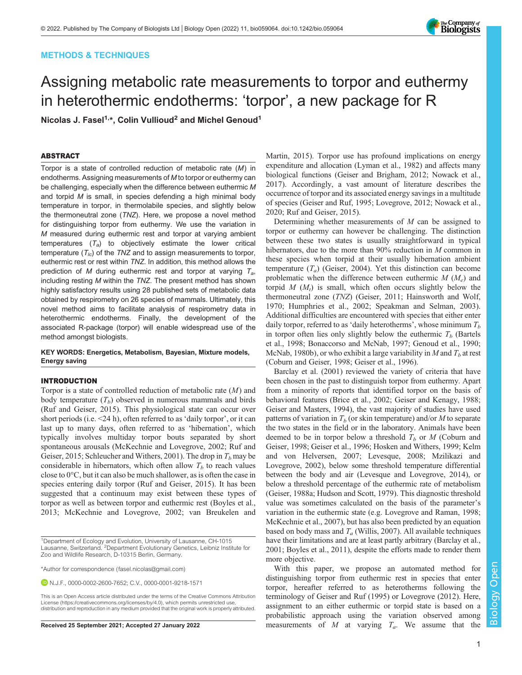# METHODS & TECHNIQUES



# Assigning metabolic rate measurements to torpor and euthermy in heterothermic endotherms: 'torpor', a new package for R

Nicolas J. Fasel<sup>1,\*</sup>, Colin Vullioud<sup>2</sup> and Michel Genoud<sup>1</sup>

# ABSTRACT

Torpor is a state of controlled reduction of metabolic rate (M) in endotherms. Assigning measurements of M to torpor or euthermy can be challenging, especially when the difference between euthermic M and torpid  $M$  is small, in species defending a high minimal body temperature in torpor, in thermolabile species, and slightly below the thermoneutral zone (TNZ). Here, we propose a novel method for distinguishing torpor from euthermy. We use the variation in M measured during euthermic rest and torpor at varying ambient temperatures  $(T_a)$  to objectively estimate the lower critical temperature  $(T_{lc})$  of the TNZ and to assign measurements to torpor, euthermic rest or rest within TNZ. In addition, this method allows the prediction of M during euthermic rest and torpor at varying  $T_a$ , including resting M within the TNZ. The present method has shown highly satisfactory results using 28 published sets of metabolic data obtained by respirometry on 26 species of mammals. Ultimately, this novel method aims to facilitate analysis of respirometry data in heterothermic endotherms. Finally, the development of the associated R-package (torpor) will enable widespread use of the method amongst biologists.

## KEY WORDS: Energetics, Metabolism, Bayesian, Mixture models, Energy saving

# INTRODUCTION

Torpor is a state of controlled reduction of metabolic rate  $(M)$  and body temperature  $(T_b)$  observed in numerous mammals and birds [\(Ruf and Geiser, 2015\)](#page-6-0). This physiological state can occur over short periods (i.e. <24 h), often referred to as 'daily torpor', or it can last up to many days, often referred to as 'hibernation', which typically involves multiday torpor bouts separated by short spontaneous arousals ([McKechnie and Lovegrove, 2002](#page-6-0); [Ruf and](#page-6-0) [Geiser, 2015; Schleucher and Withers, 2001](#page-6-0)). The drop in  $T<sub>b</sub>$  may be considerable in hibernators, which often allow  $T<sub>b</sub>$  to reach values close to 0°C, but it can also be much shallower, as is often the case in species entering daily torpor [\(Ruf and Geiser, 2015](#page-6-0)). It has been suggested that a continuum may exist between these types of torpor as well as between torpor and euthermic rest ([Boyles et al.,](#page-5-0) [2013](#page-5-0); [McKechnie and Lovegrove, 2002](#page-6-0); [van Breukelen and](#page-7-0)

\*Author for correspondence [\(fasel.nicolas@gmail.com](mailto:fasel.nicolas@gmail.com))

N.J.F., [0000-0002-2600-7652;](http://orcid.org/0000-0002-2600-7652) C.V., [0000-0001-9218-1571](http://orcid.org/0000-0001-9218-1571)

[Martin, 2015](#page-7-0)). Torpor use has profound implications on energy expenditure and allocation ([Lyman et al., 1982](#page-6-0)) and affects many biological functions ([Geiser and Brigham, 2012](#page-6-0); [Nowack et al.,](#page-6-0) [2017\)](#page-6-0). Accordingly, a vast amount of literature describes the occurrence of torpor and its associated energy savings in a multitude of species [\(Geiser and Ruf, 1995](#page-6-0); [Lovegrove, 2012; Nowack et al.,](#page-6-0) [2020; Ruf and Geiser, 2015\)](#page-6-0).

Determining whether measurements of M can be assigned to torpor or euthermy can however be challenging. The distinction between these two states is usually straightforward in typical hibernators, due to the more than 90% reduction in *M* common in these species when torpid at their usually hibernation ambient temperature  $(T_a)$  [\(Geiser, 2004](#page-6-0)). Yet this distinction can become problematic when the difference between euthermic  $M(M_e)$  and torpid  $M(M<sub>t</sub>)$  is small, which often occurs slightly below the thermoneutral zone (TNZ) [\(Geiser, 2011](#page-6-0); [Hainsworth and Wolf,](#page-6-0) [1970; Humphries et al., 2002](#page-6-0); [Speakman and Selman, 2003\)](#page-7-0). Additional difficulties are encountered with species that either enter daily torpor, referred to as 'daily heterotherms', whose minimum  $T_b$ in torpor often lies only slightly below the euthermic  $T_b$  [\(Bartels](#page-5-0) [et al., 1998; Bonaccorso and McNab, 1997;](#page-5-0) [Genoud et al., 1990](#page-6-0); [McNab, 1980b](#page-6-0)), or who exhibit a large variability in M and  $T<sub>b</sub>$  at rest [\(Coburn and Geiser, 1998;](#page-5-0) [Geiser et al., 1996\)](#page-6-0).

[Barclay et al. \(2001\)](#page-5-0) reviewed the variety of criteria that have been chosen in the past to distinguish torpor from euthermy. Apart from a minority of reports that identified torpor on the basis of behavioral features [\(Brice et al., 2002](#page-5-0); [Geiser and Kenagy, 1988](#page-6-0); [Geiser and Masters, 1994](#page-6-0)), the vast majority of studies have used patterns of variation in  $T_b$  (or skin temperature) and/or M to separate the two states in the field or in the laboratory. Animals have been deemed to be in torpor below a threshold  $T_b$  or M [\(Coburn and](#page-5-0) [Geiser, 1998](#page-5-0); [Geiser et al., 1996](#page-6-0); [Hosken and Withers, 1999](#page-6-0); [Kelm](#page-6-0) [and von Helversen, 2007; Levesque, 2008; Mzilikazi and](#page-6-0) [Lovegrove, 2002\)](#page-6-0), below some threshold temperature differential between the body and air [\(Levesque and Lovegrove, 2014](#page-6-0)), or below a threshold percentage of the euthermic rate of metabolism [\(Geiser, 1988a](#page-5-0); [Hudson and Scott, 1979](#page-6-0)). This diagnostic threshold value was sometimes calculated on the basis of the parameter's variation in the euthermic state (e.g. [Lovegrove and Raman, 1998](#page-6-0); [McKechnie et al., 2007](#page-6-0)), but has also been predicted by an equation based on body mass and  $T_a$  ([Willis, 2007\)](#page-7-0). All available techniques have their limitations and are at least partly arbitrary ([Barclay et al.,](#page-5-0) [2001; Boyles et al., 2011\)](#page-5-0), despite the efforts made to render them more objective.

With this paper, we propose an automated method for distinguishing torpor from euthermic rest in species that enter torpor, hereafter referred to as heterotherms following the terminology of [Geiser and Ruf \(1995\)](#page-6-0) or [Lovegrove \(2012\)](#page-6-0). Here, assignment to an either euthermic or torpid state is based on a probabilistic approach using the variation observed among Received 25 September 2021; Accepted 27 January 2022 measurements of M at varying  $T_a$ . We assume that the

<sup>&</sup>lt;sup>1</sup>Department of Ecology and Evolution, University of Lausanne, CH-1015<br>Lausanne, Switzerland. <sup>2</sup>Department Evolutionary Genetics, Leibniz Institute for Zoo and Wildlife Research, D-10315 Berlin, Germany.

This is an Open Access article distributed under the terms of the Creative Commons Attribution License (https://creativecommons.org/licenses/by/4.0), which permits unrestricted use, distribution and reproduction in any medium provided that the original work is properly attributed.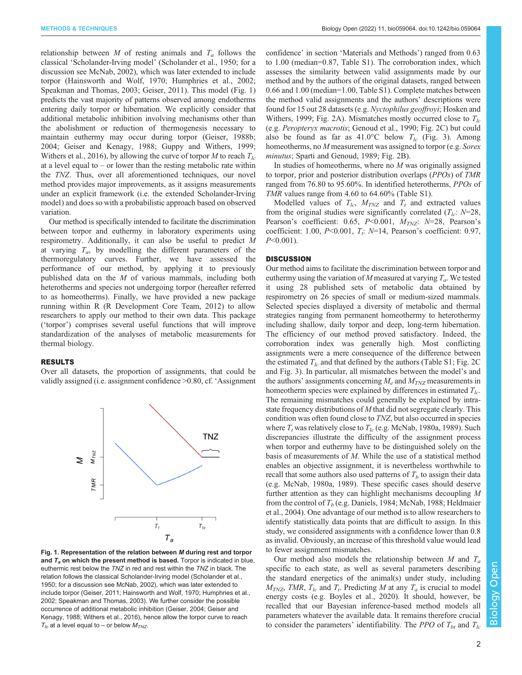<span id="page-1-0"></span>METHODS & TECHNIQUES Biology Open (2022) 11, bio059064. doi:10.1242/bio.059064

relationship between M of resting animals and  $T_a$  follows the classical 'Scholander-Irving model' [\(Scholander et al., 1950](#page-6-0); for a discussion see [McNab, 2002\)](#page-6-0), which was later extended to include torpor ([Hainsworth and Wolf, 1970; Humphries et al., 2002](#page-6-0); [Speakman and Thomas, 2003;](#page-7-0) [Geiser, 2011](#page-6-0)). This model (Fig. 1) predicts the vast majority of patterns observed among endotherms entering daily torpor or hibernation. We explicitly consider that additional metabolic inhibition involving mechanisms other than the abolishment or reduction of thermogenesis necessary to maintain euthermy may occur during torpor ([Geiser, 1988b](#page-5-0); [2004](#page-6-0); [Geiser and Kenagy, 1988](#page-6-0); [Guppy and Withers, 1999](#page-6-0); [Withers et al., 2016\)](#page-7-0), by allowing the curve of torpor M to reach  $T_{lc}$ at a level equal to – or lower than the resting metabolic rate within the TNZ. Thus, over all aforementioned techniques, our novel method provides major improvements, as it assigns measurements under an explicit framework (i.e. the extended Scholander-Irving model) and does so with a probabilistic approach based on observed variation.

Our method is specifically intended to facilitate the discrimination between torpor and euthermy in laboratory experiments using respirometry. Additionally, it can also be useful to predict M at varying  $T_a$ , by modelling the different parameters of the thermoregulatory curves. Further, we have assessed the performance of our method, by applying it to previously published data on the M of various mammals, including both heterotherms and species not undergoing torpor (hereafter referred to as homeotherms). Finally, we have provided a new package running within R [\(R Development Core Team, 2012\)](#page-6-0) to allow researchers to apply our method to their own data. This package ('torpor') comprises several useful functions that will improve standardization of the analyses of metabolic measurements for thermal biology.

## RESULTS

Over all datasets, the proportion of assignments, that could be validly assigned (i.e. assignment confidence >0.80, cf. 'Assignment



Fig. 1. Representation of the relation between M during rest and torpor and  $T_a$  on which the present method is based. Torpor is indicated in blue, euthermic rest below the TNZ in red and rest within the TNZ in black. The relation follows the classical Scholander-Irving model ([Scholander et al.,](#page-6-0) [1950;](#page-6-0) for a discussion see [McNab, 2002\)](#page-6-0), which was later extended to include torpor ([Geiser, 2011](#page-6-0); [Hainsworth and Wolf, 1970](#page-6-0); [Humphries et al.,](#page-6-0) [2002;](#page-6-0) [Speakman and Thomas, 2003\)](#page-7-0). We further consider the possible occurrence of additional metabolic inhibition ([Geiser, 2004](#page-6-0); [Geiser and](#page-6-0) [Kenagy, 1988;](#page-6-0) [Withers et al., 2016\)](#page-7-0), hence allow the torpor curve to reach  $T_{1c}$  at a level equal to – or below  $M_{TNS}$ .

confidence' in section 'Materials and Methods') ranged from 0.63 to 1.00 (median=0.87, [Table S1\)](https://journals.biologists.com/bio/article-lookup/DOI/10.1242/bio.059064). The corroboration index, which assesses the similarity between valid assignments made by our method and by the authors of the original datasets, ranged between 0.66 and 1.00 (median=1.00, [Table S1\)](https://journals.biologists.com/bio/article-lookup/DOI/10.1242/bio.059064). Complete matches between the method valid assignments and the authors' descriptions were found for 15 out 28 datasets (e.g. Nyctophilus geoffroyi; [Hosken and](#page-6-0) [Withers, 1999;](#page-6-0) [Fig. 2](#page-2-0)A). Mismatches mostly occurred close to  $T_{lc}$ (e.g. Peropteryx macrotis; [Genoud et al., 1990;](#page-6-0) [Fig. 2](#page-2-0)C) but could also be found as far as  $41.0^{\circ}$ C below  $T_{lc}$  ([Fig. 3](#page-3-0)). Among homeotherms, no M measurement was assigned to torpor (e.g. Sorex minutus; [Sparti and Genoud, 1989;](#page-6-0) [Fig. 2](#page-2-0)B).

In studies of homeotherms, where no  $M$  was originally assigned to torpor, prior and posterior distribution overlaps (PPOs) of TMR ranged from 76.80 to 95.60%. In identified heterotherms, PPOs of TMR values range from 4.60 to 64.60% ([Table S1](https://journals.biologists.com/bio/article-lookup/DOI/10.1242/bio.059064)).

Modelled values of  $T_{lc}$ ,  $M_{TNZ}$  and  $T_t$  and extracted values from the original studies were significantly correlated  $(T_{lc}: N=28,$ Pearson's coefficient: 0.65,  $P<0.001$ ,  $M_{TNZ}$ :  $N=28$ , Pearson's coefficient: 1.00,  $P<0.001$ ,  $T_t$ :  $N=14$ , Pearson's coefficient: 0.97,  $P<0.001$ ).

# **DISCUSSION**

Our method aims to facilitate the discrimination between torpor and euthermy using the variation of M measured at varying  $T_a$ . We tested it using 28 published sets of metabolic data obtained by respirometry on 26 species of small or medium-sized mammals. Selected species displayed a diversity of metabolic and thermal strategies ranging from permanent homeothermy to heterothermy including shallow, daily torpor and deep, long-term hibernation. The efficiency of our method proved satisfactory. Indeed, the corroboration index was generally high. Most conflicting assignments were a mere consequence of the difference between the estimated  $T_{lc}$  and that defined by the authors [\(Table S1;](https://journals.biologists.com/bio/article-lookup/DOI/10.1242/bio.059064) [Fig. 2C](#page-2-0)) and [Fig. 3\)](#page-3-0). In particular, all mismatches between the model's and the authors' assignments concerning  $M_e$  and  $M_{TNZ}$  measurements in homeotherm species were explained by differences in estimated  $T_{lc}$ . The remaining mismatches could generally be explained by intrastate frequency distributions of M that did not segregate clearly. This condition was often found close to TNZ, but also occurred in species where  $T_t$  was relatively close to  $T_{lc}$  (e.g. [McNab, 1980a, 1989\)](#page-6-0). Such discrepancies illustrate the difficulty of the assignment process when torpor and euthermy have to be distinguished solely on the basis of measurements of M. While the use of a statistical method enables an objective assignment, it is nevertheless worthwhile to recall that some authors also used patterns of  $T_b$  to assign their data (e.g. [McNab, 1980a, 1989](#page-6-0)). These specific cases should deserve further attention as they can highlight mechanisms decoupling M from the control of  $T_b$  (e.g. [Daniels, 1984](#page-5-0); [McNab, 1988; Heldmaier](#page-6-0) [et al., 2004](#page-6-0)). One advantage of our method is to allow researchers to identify statistically data points that are difficult to assign. In this study, we considered assignments with a confidence lower than 0.8 as invalid. Obviously, an increase of this threshold value would lead to fewer assignment mismatches.

Our method also models the relationship between M and  $T_a$ specific to each state, as well as several parameters describing the standard energetics of the animal(s) under study, including  $M_{TNZ}$ , TMR,  $T_{lc}$  and  $T_t$ . Predicting M at any  $T_a$  is crucial to model energy costs (e.g. [Boyles et al., 2020\)](#page-5-0). It should, however, be recalled that our Bayesian inference-based method models all parameters whatever the available data. It remains therefore crucial to consider the parameters' identifiability. The *PPO* of  $T_{bt}$  and  $T_{lc}$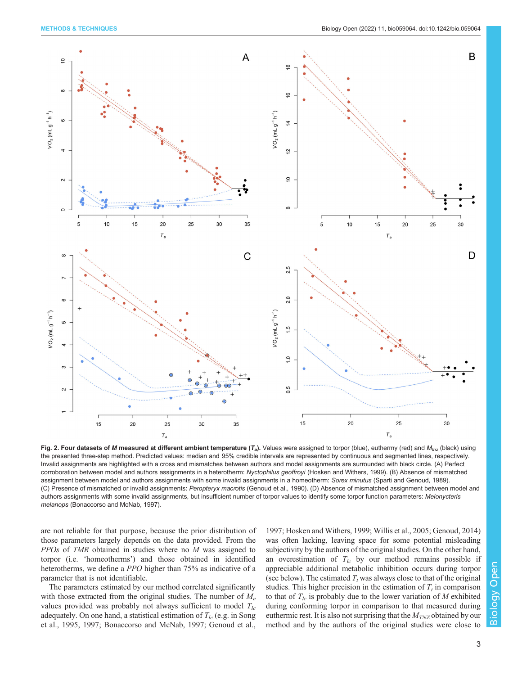<span id="page-2-0"></span>

Fig. 2. Four datasets of M measured at different ambient temperature  $(T_a)$ . Values were assigned to torpor (blue), euthermy (red) and  $M_{t\nu z}$  (black) using the presented three-step method. Predicted values: median and 95% credible intervals are represented by continuous and segmented lines, respectively. Invalid assignments are highlighted with a cross and mismatches between authors and model assignments are surrounded with black circle. (A) Perfect corroboration between model and authors assignments in a heterotherm: Nyctophilus geoffroyi [\(Hosken and Withers, 1999\)](#page-6-0). (B) Absence of mismatched assignment between model and authors assignments with some invalid assignments in a homeotherm: Sorex minutus ([Sparti and Genoud, 1989\)](#page-6-0). (C) Presence of mismatched or invalid assignments: Peropteryx macrotis [\(Genoud et al., 1990](#page-6-0)). (D) Absence of mismatched assignment between model and authors assignments with some invalid assignments, but insufficient number of torpor values to identify some torpor function parameters: Melonycteris melanops ([Bonaccorso and McNab, 1997\)](#page-5-0).

are not reliable for that purpose, because the prior distribution of those parameters largely depends on the data provided. From the PPOs of TMR obtained in studies where no M was assigned to torpor (i.e. 'homeotherms') and those obtained in identified heterotherms, we define a *PPO* higher than 75% as indicative of a parameter that is not identifiable.

The parameters estimated by our method correlated significantly with those extracted from the original studies. The number of  $M_e$ values provided was probably not always sufficient to model  $T_{lc}$ adequately. On one hand, a statistical estimation of  $T_{lc}$  (e.g. in [Song](#page-6-0) [et al., 1995, 1997](#page-6-0); [Bonaccorso and McNab, 1997;](#page-5-0) [Genoud et al.,](#page-6-0)

[1997; Hosken and Withers, 1999;](#page-6-0) [Willis et al., 2005](#page-7-0); [Genoud, 2014\)](#page-6-0) was often lacking, leaving space for some potential misleading subjectivity by the authors of the original studies. On the other hand, an overestimation of  $T_{lc}$  by our method remains possible if appreciable additional metabolic inhibition occurs during torpor (see below). The estimated  $T_t$  was always close to that of the original studies. This higher precision in the estimation of  $T_t$  in comparison to that of  $T_{lc}$  is probably due to the lower variation of M exhibited during conforming torpor in comparison to that measured during euthermic rest. It is also not surprising that the  $M_{TNZ}$  obtained by our method and by the authors of the original studies were close to

3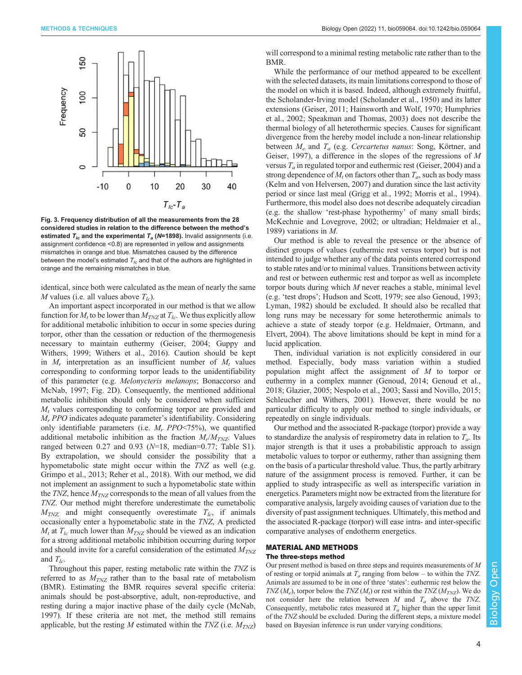<span id="page-3-0"></span>

Fig. 3. Frequency distribution of all the measurements from the 28 considered studies in relation to the difference between the method's estimated  $T_{lc}$  and the experimental  $T_a$  (N=1898). Invalid assignments (i.e. assignment confidence <0.8) are represented in yellow and assignments mismatches in orange and blue. Mismatches caused by the difference between the model's estimated  $T_{lc}$  and that of the authors are highlighted in orange and the remaining mismatches in blue.

identical, since both were calculated as the mean of nearly the same M values (i.e. all values above  $T_{lc}$ ).

An important aspect incorporated in our method is that we allow function for  $M_t$  to be lower than  $M_{TNZ}$  at  $T_{lc}$ . We thus explicitly allow for additional metabolic inhibition to occur in some species during torpor, other than the cessation or reduction of the thermogenesis necessary to maintain euthermy [\(Geiser, 2004](#page-6-0); [Guppy and](#page-6-0) [Withers, 1999](#page-6-0); [Withers et al., 2016\)](#page-7-0). Caution should be kept in  $M_r$  interpretation as an insufficient number of  $M_t$  values corresponding to conforming torpor leads to the unidentifiability of this parameter (e.g. Melonycteris melanops; [Bonaccorso and](#page-5-0) [McNab, 1997](#page-5-0); [Fig. 2D](#page-2-0)). Consequently, the mentioned additional metabolic inhibition should only be considered when sufficient  $M_t$  values corresponding to conforming torpor are provided and Mr PPO indicates adequate parameter's identifiability. Considering only identifiable parameters (i.e.  $M_r$  PPO<75%), we quantified additional metabolic inhibition as the fraction  $M_r/M_{TNZ}$ . Values ranged between  $0.27$  and  $0.93$  ( $N=18$ , median=0.77; [Table S1\)](https://journals.biologists.com/bio/article-lookup/DOI/10.1242/bio.059064). By extrapolation, we should consider the possibility that a hypometabolic state might occur within the TNZ as well (e.g. [Grimpo et al., 2013; Reher et al., 2018\)](#page-6-0). With our method, we did not implement an assignment to such a hypometabolic state within the TNZ, hence  $M_{TNZ}$  corresponds to the mean of all values from the TNZ. Our method might therefore underestimate the eumetabolic  $M_{TNZ}$  and might consequently overestimate  $T_{lc}$ , if animals occasionally enter a hypometabolic state in the TNZ, A predicted  $M_t$  at  $T_{lc}$  much lower than  $M_{TNZ}$  should be viewed as an indication for a strong additional metabolic inhibition occurring during torpor and should invite for a careful consideration of the estimated  $M_{TNZ}$ and  $T_{lc}$ .

Throughout this paper, resting metabolic rate within the TNZ is referred to as  $M_{TNZ}$  rather than to the basal rate of metabolism (BMR). Estimating the BMR requires several specific criteria: animals should be post-absorptive, adult, non-reproductive, and resting during a major inactive phase of the daily cycle [\(McNab,](#page-6-0) [1997](#page-6-0)). If these criteria are not met, the method still remains applicable, but the resting M estimated within the  $TNZ$  (i.e.  $M_{TNZ}$ ) will correspond to a minimal resting metabolic rate rather than to the BMR.

While the performance of our method appeared to be excellent with the selected datasets, its main limitations correspond to those of the model on which it is based. Indeed, although extremely fruitful, the Scholander-Irving model ([Scholander et al., 1950](#page-6-0)) and its latter extensions [\(Geiser, 2011; Hainsworth and Wolf, 1970; Humphries](#page-6-0) [et al., 2002;](#page-6-0) [Speakman and Thomas, 2003\)](#page-7-0) does not describe the thermal biology of all heterothermic species. Causes for significant divergence from the hereby model include a non-linear relationship between  $M_e$  and  $T_a$  (e.g. Cercartetus nanus: [Song, Körtner, and](#page-6-0) [Geiser, 1997](#page-6-0)), a difference in the slopes of the regressions of M versus  $T_a$  in regulated torpor and euthermic rest ([Geiser, 2004](#page-6-0)) and a strong dependence of  $M_t$  on factors other than  $T_a$ , such as body mass [\(Kelm and von Helversen, 2007\)](#page-6-0) and duration since the last activity period or since last meal ([Grigg et al., 1992; Morris et al., 1994\)](#page-6-0). Furthermore, this model also does not describe adequately circadian (e.g. the shallow 'rest-phase hypothermy' of many small birds; [McKechnie and Lovegrove, 2002;](#page-6-0) or ultradian; [Heldmaier et al.,](#page-6-0) [1989\)](#page-6-0) variations in M.

Our method is able to reveal the presence or the absence of distinct groups of values (euthermic rest versus torpor) but is not intended to judge whether any of the data points entered correspond to stable rates and/or to minimal values. Transitions between activity and rest or between euthermic rest and torpor as well as incomplete torpor bouts during which M never reaches a stable, minimal level (e.g. 'test drops'; [Hudson and Scott, 1979](#page-6-0); see also [Genoud, 1993](#page-6-0); [Lyman, 1982](#page-6-0)) should be excluded. It should also be recalled that long runs may be necessary for some heterothermic animals to achieve a state of steady torpor (e.g. [Heldmaier, Ortmann, and](#page-6-0) [Elvert, 2004](#page-6-0)). The above limitations should be kept in mind for a lucid application.

Then, individual variation is not explicitly considered in our method. Especially, body mass variation within a studied population might affect the assignment of M to torpor or euthermy in a complex manner [\(Genoud, 2014](#page-6-0); [Genoud et al.,](#page-6-0) [2018; Glazier, 2005; Nespolo et al., 2003](#page-6-0); [Sassi and Novillo, 2015](#page-6-0); [Schleucher and Withers, 2001\)](#page-6-0). However, there would be no particular difficulty to apply our method to single individuals, or repeatedly on single individuals.

Our method and the associated R-package (torpor) provide a way to standardize the analysis of respirometry data in relation to  $T_a$ . Its major strength is that it uses a probabilistic approach to assign metabolic values to torpor or euthermy, rather than assigning them on the basis of a particular threshold value. Thus, the partly arbitrary nature of the assignment process is removed. Further, it can be applied to study intraspecific as well as interspecific variation in energetics. Parameters might now be extracted from the literature for comparative analysis, largely avoiding causes of variation due to the diversity of past assignment techniques. Ultimately, this method and the associated R-package (torpor) will ease intra- and inter-specific comparative analyses of endotherm energetics.

# MATERIAL AND METHODS The three-steps method

Our present method is based on three steps and requires measurements of M of resting or torpid animals at  $T_a$  ranging from below – to within the TNZ. Animals are assumed to be in one of three 'states': euthermic rest below the TNZ ( $M_e$ ), torpor below the TNZ ( $M_t$ ) or rest within the TNZ ( $M_{TNZ}$ ). We do not consider here the relation between  $M$  and  $T_a$  above the TNZ. Consequently, metabolic rates measured at  $T_a$  higher than the upper limit of the TNZ should be excluded. During the different steps, a mixture model based on Bayesian inference is run under varying conditions.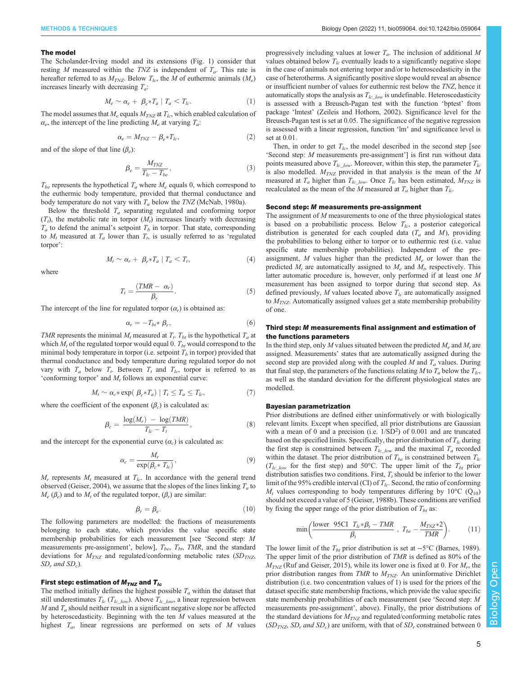#### The model

The Scholander-Irving model and its extensions [\(Fig. 1](#page-1-0)) consider that resting M measured within the TNZ is independent of  $T_a$ . This rate is hereafter referred to as  $M_{TNZ}$ . Below  $T_{lc}$ , the M of euthermic animals  $(M_e)$ increases linearly with decreasing  $T_a$ :

$$
M_e \sim \alpha_e + \beta_e * T_a \mid T_a < T_{lc}. \tag{1}
$$

The model assumes that  $M_e$  equals  $M_{TNZ}$  at  $T_{lc}$ , which enabled calculation of  $\alpha_e$ , the intercept of the line predicting  $M_e$  at varying  $T_a$ :

$$
\alpha_e = M_{TNZ} - \beta_e * T_{lc},\tag{2}
$$

and of the slope of that line  $(\beta_e)$ :

$$
\beta_e = \frac{M_{TNZ}}{T_{lc} - T_{be}},\tag{3}
$$

 $T_{be}$  represents the hypothetical  $T_a$  where  $M_e$  equals 0, which correspond to the euthermic body temperature, provided that thermal conductance and body temperature do not vary with  $T_a$  below the TNZ ([McNab, 1980a](#page-6-0)).

Below the threshold  $T_a$  separating regulated and conforming torpor  $(T_t)$ , the metabolic rate in torpor  $(M_t)$  increases linearly with decreasing  $T_a$  to defend the animal's setpoint  $T_b$  in torpor. That state, corresponding to  $M_t$  measured at  $T_a$  lower than  $T_t$ , is usually referred to as 'regulated torpor':

$$
M_t \sim \alpha_r + \beta_r * T_a \mid T_a < T_t,\tag{4}
$$

where

$$
T_t = \frac{(TMR - \alpha_r)}{\beta_r}.
$$
\n(5)

The intercept of the line for regulated torpor  $(\alpha_r)$  is obtained as:

$$
\alpha_r = -T_{bt} * \beta_r,\tag{6}
$$

TMR represents the minimal  $M_t$  measured at  $T_t$ .  $T_{bt}$  is the hypothetical  $T_a$  at which  $M_t$  of the regulated torpor would equal 0.  $T_{bt}$  would correspond to the minimal body temperature in torpor (i.e. setpoint  $T_b$  in torpor) provided that thermal conductance and body temperature during regulated torpor do not vary with  $T_a$  below  $T_t$ . Between  $T_t$  and  $T_{lc}$ , torpor is referred to as 'conforming torpor' and  $M_t$  follows an exponential curve:

$$
M_t \sim \alpha_c * \exp(\beta_c * T_a) | T_t \le T_a \le T_{lc}, \tag{7}
$$

where the coefficient of the exponent  $(\beta_c)$  is calculated as:

$$
\beta_c = \frac{\log(M_r) - \log(TMR)}{T_{lc} - T_t},\tag{8}
$$

and the intercept for the exponential curve  $(\alpha_c)$  is calculated as:

$$
\alpha_c = \frac{M_r}{\exp(\beta_c * T_{lc})},\tag{9}
$$

 $M_r$  represents  $M_t$  measured at  $T_{lc}$ . In accordance with the general trend observed ([Geiser, 2004\)](#page-6-0), we assume that the slopes of the lines linking  $T_a$  to  $M_e$  ( $\beta_e$ ) and to  $M_t$  of the regulated torpor, ( $\beta_r$ ) are similar:

$$
\beta_r = \beta_e. \tag{10}
$$

The following parameters are modelled: the fractions of measurements belonging to each state, which provides the value specific state membership probabilities for each measurement [see 'Second step: M measurements pre-assignment', below],  $T_{be}$ ,  $T_{bt}$ ,  $TMR$ , and the standard deviations for  $M_{TNZ}$  and regulated/conforming metabolic rates (SD<sub>TNZ</sub>,  $SD_r$  and  $SD_c$ ).

## First step: estimation of  $M_{TNZ}$  and  $T_{lc}$

The method initially defines the highest possible  $T_a$  within the dataset that still underestimates  $T_{lc}$  ( $T_{lc\_low}$ ). Above  $T_{lc\_low}$ , a linear regression between  $M$  and  $T_a$  should neither result in a significant negative slope nor be affected by heteroscedasticity. Beginning with the ten  $M$  values measured at the highest  $T_a$ , linear regressions are performed on sets of M values

progressively including values at lower  $T_a$ . The inclusion of additional M values obtained below  $T_{lc}$  eventually leads to a significantly negative slope in the case of animals not entering torpor and/or to heteroscedasticity in the case of heterotherms. A significantly positive slope would reveal an absence or insufficient number of values for euthermic rest below the TNZ, hence it automatically stops the analysis as  $T_{lc\_low}$  is undefinable. Heteroscedasticity is assessed with a Breusch-Pagan test with the function 'bptest' from package 'lmtest' ([Zeileis and Hothorn, 2002](#page-7-0)). Significance level for the Breusch-Pagan test is set at 0.05. The significance of the negative regression is assessed with a linear regression, function 'lm' and significance level is set at 0.01.

Then, in order to get  $T_{lc}$ , the model described in the second step [see 'Second step: M measurements pre-assignment'] is first run without data points measured above  $T_{lc\_low}$ . Moreover, within this step, the parameter  $T_{lc}$ is also modelled.  $M_{TNZ}$  provided in that analysis is the mean of the M measured at  $T_a$  higher than  $T_{lc\_low}$ . Once  $T_{lc}$  has been estimated,  $M_{TNZ}$  is recalculated as the mean of the M measured at  $T_a$  higher than  $T_{lc}$ .

#### Second step: M measurements pre-assignment

The assignment of  $M$  measurements to one of the three physiological states is based on a probabilistic process. Below  $T_{lc}$ , a posterior categorical distribution is generated for each coupled data  $(T_a$  and  $M)$ , providing the probabilities to belong either to torpor or to euthermic rest (i.e. value specific state membership probabilities). Independent of the preassignment,  $M$  values higher than the predicted  $M_e$  or lower than the predicted  $M_t$  are automatically assigned to  $M_e$  and  $M_t$ , respectively. This latter automatic procedure is, however, only performed if at least one M measurement has been assigned to torpor during that second step. As defined previously,  $M$  values located above  $T_{lc}$  are automatically assigned to  $M_{TNZ}$ . Automatically assigned values get a state membership probability of one.

## Third step: M measurements final assignment and estimation of the functions parameters

In the third step, only M values situated between the predicted  $M_e$  and  $M_t$  are assigned. Measurements' states that are automatically assigned during the second step are provided along with the coupled  $M$  and  $T_a$  values. During that final step, the parameters of the functions relating M to  $T_a$  below the  $T_{lc}$ , as well as the standard deviation for the different physiological states are modelled.

#### Bayesian parametrization

Prior distributions are defined either uninformatively or with biologically relevant limits. Except when specified, all prior distributions are Gaussian with a mean of 0 and a precision (i.e.  $1/SD<sup>2</sup>$ ) of 0.001 and are truncated based on the specified limits. Specifically, the prior distribution of  $T_{lc}$  during the first step is constrained between  $T_{lc\_low}$  and the maximal  $T_a$  recorded within the dataset. The prior distribution of  $T_{be}$  is constrained between  $T_{lc}$  $(T_{lc\_low}$  for the first step) and 50°C. The upper limit of the  $T_{bt}$  prior distribution satisfies two conditions. First,  $T_t$  should be inferior to the lower limit of the 95% credible interval (CI) of  $T_{lc}$ . Second, the ratio of conforming  $M_t$  values corresponding to body temperatures differing by 10°C (Q<sub>10</sub>) should not exceed a value of 5 [\(Geiser, 1988b\)](#page-5-0). These conditions are verified by fixing the upper range of the prior distribution of  $T_{bt}$  as:

$$
\min\left(\frac{\text{lower } 95\text{CI } T_{lc} * \beta_t - TMR}{\beta_t}, T_{be} - \frac{M_{TNZ} * 2}{TMR}\right). \tag{11}
$$

The lower limit of the  $T_{bt}$  prior distribution is set at  $-5^{\circ}$ C [\(Barnes, 1989](#page-5-0)). The upper limit of the prior distribution of TMR is defined as 80% of the  $M_{TNZ}$  [\(Ruf and Geiser, 2015](#page-6-0)), while its lower one is fixed at 0. For  $M_r$ , the prior distribution ranges from  $TMR$  to  $M_{TNZ}$ . An uninformative Dirichlet distribution (i.e. two concentration values of 1) is used for the priors of the dataset specific state membership fractions, which provide the value specific state membership probabilities of each measurement (see 'Second step: M measurements pre-assignment', above). Finally, the prior distributions of the standard deviations for  $M_{TNZ}$  and regulated/conforming metabolic rates  $(SD_{TNZ}, SD_r$  and  $SD_c$ ) are uniform, with that of  $SD_r$  constrained between 0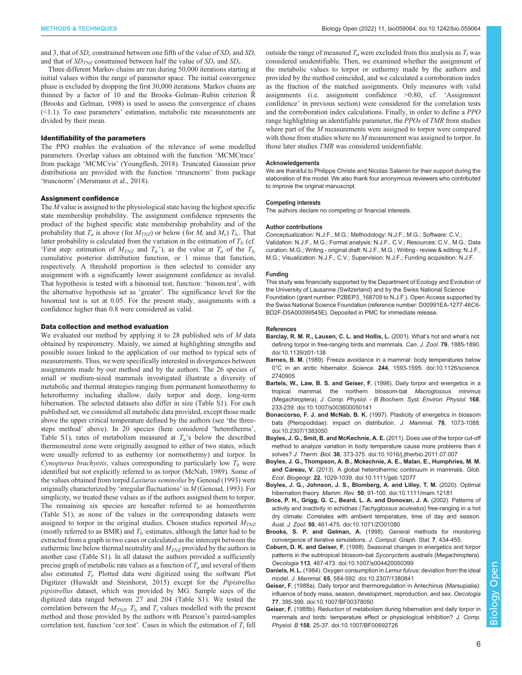<span id="page-5-0"></span>and 3, that of  $SD_c$  constrained between one fifth of the value of  $SD_r$  and  $SD_r$ and that of  $SD_{TNZ}$  constrained between half the value of  $SD_r$  and  $SD_r$ .

Three different Markov chains are run during 50,000 iterations starting at initial values within the range of parameter space. The initial convergence phase is excluded by dropping the first 30,000 iterations. Markov chains are thinned by a factor of 10 and the Brooks–Gelman–Rubin criterion R̂ (Brooks and Gelman, 1998) is used to assess the convergence of chains (<1.1). To ease parameters' estimation, metabolic rate measurements are divided by their mean.

# Identifiability of the parameters

The PPO enables the evaluation of the relevance of some modelled parameters. Overlap values are obtained with the function 'MCMCtrace' from package 'MCMCvis' ([Youngflesh, 2018\)](#page-7-0). Truncated Gaussian prior distributions are provided with the function 'rtruncnorm' from package 'truncnorm' ([Mersmann et al., 2018](#page-6-0)).

## Assignment confidence

The  $M$  value is assigned to the physiological state having the highest specific state membership probability. The assignment confidence represents the product of the highest specific state membership probability and of the probability that  $T_a$  is above (for  $M_{T\!N\!Z}$ ) or below (for  $M_t$  and  $M_e$ )  $T_{lc}$ . That latter probability is calculated from the variation in the estimation of  $T_{lc}$  (cf. 'First step: estimation of  $M_{TNZ}$  and  $T_{lc}$ '), as the value at  $T_a$  of the  $T_{lc}$ cumulative posterior distribution function, or 1 minus that function, respectively. A threshold proportion is then selected to consider any assignment with a significantly lower assignment confidence as invalid. That hypothesis is tested with a binomial test, function: 'binom.test', with the alternative hypothesis set as 'greater'. The significance level for the binomial test is set at 0.05. For the present study, assignments with a confidence higher than 0.8 were considered as valid.

#### Data collection and method evaluation

We evaluated our method by applying it to 28 published sets of  $M$  data obtained by respirometry. Mainly, we aimed at highlighting strengths and possible issues linked to the application of our method to typical sets of measurements. Thus, we were specifically interested in divergences between assignments made by our method and by the authors. The 26 species of small or medium-sized mammals investigated illustrate a diversity of metabolic and thermal strategies ranging from permanent homeothermy to heterothermy including shallow, daily torpor and deep, long-term hibernation. The selected datasets also differ in size [\(Table S1\)](https://journals.biologists.com/bio/article-lookup/DOI/10.1242/bio.059064). For each published set, we considered all metabolic data provided, except those made above the upper critical temperature defined by the authors (see 'the threesteps method' above). In 20 species (here considered 'heterotherms', [Table S1](https://journals.biologists.com/bio/article-lookup/DOI/10.1242/bio.059064)), rates of metabolism measured at  $T_a$ 's below the described thermoneutral zone were originally assigned to either of two states, which were usually referred to as euthermy (or normothermy) and torpor. In Cynopterus brachyotis, values corresponding to particularly low  $T_b$  were identified but not explicitly referred to as torpor ([McNab, 1989\)](#page-6-0). Some of the values obtained from torpid Lasiurus seminolus by [Genoud \(1993\)](#page-6-0) were originally characterized by 'irregular fluctuations' in M [\(Genoud, 1993](#page-6-0)). For simplicity, we treated these values as if the authors assigned them to torpor. The remaining six species are hereafter referred to as homeotherms ([Table S1\)](https://journals.biologists.com/bio/article-lookup/DOI/10.1242/bio.059064), as none of the values in the corresponding datasets were assigned to torpor in the original studies. Chosen studies reported  $M_{TNZ}$ (mostly referred to as BMR) and  $T_{lc}$  estimates, although the latter had to be extracted from a graph in two cases or calculated as the intercept between the euthermic line below thermal neutrality and  $M_{TNZ}$  provided by the authors in another case [\(Table S1\)](https://journals.biologists.com/bio/article-lookup/DOI/10.1242/bio.059064). In all dataset the authors provided a sufficiently precise graph of metabolic rate values as a function of  $T_a$  and several of them also estimated  $T_t$ . Plotted data were digitized using the software Plot Digitizer ([Huwaldt and Steinhorst, 2015\)](#page-6-0) except for the Pipistrellus pipistrellus dataset, which was provided by MG. Sample sizes of the digitized data ranged between 27 and 204 ([Table S1\)](https://journals.biologists.com/bio/article-lookup/DOI/10.1242/bio.059064). We tested the correlation between the  $M_{TNZ}$ ,  $T_{lc}$  and  $T_t$  values modelled with the present method and those provided by the authors with Pearson's paired-samples correlation test, function 'cor.test'. Cases in which the estimation of  $T_t$  fell

outside the range of measured  $T_a$  were excluded from this analysis as  $T_t$  was considered unidentifiable. Then, we examined whether the assignment of the metabolic values to torpor or euthermy made by the authors and provided by the method coincided, and we calculated a corroboration index as the fraction of the matched assignments. Only measures with valid assignments (i.e. assignment confidence >0.80, cf. 'Assignment confidence' in previous section) were considered for the correlation tests and the corroboration index calculations. Finally, in order to define a PPO range highlighting an identifiable parameter, the PPOs of TMR from studies where part of the M measurements were assigned to torpor were compared with those from studies where no M measurement was assigned to torpor. In those later studies TMR was considered unidentifiable.

#### Acknowledgements

We are thankful to Philippe Christe and Nicolas Salamin for their support during the elaboration of the model. We also thank four anonymous reviewers who contributed to improve the original manuscript.

#### Competing interests

The authors declare no competing or financial interests.

#### Author contributions

Conceptualization: N.J.F., M.G.; Methodology: N.J.F., M.G.; Software: C.V.; Validation: N.J.F., M.G.; Formal analysis: N.J.F., C.V.; Resources: C.V., M.G.; Data curation: M.G.; Writing - original draft: N.J.F., M.G.; Writing - review & editing: N.J.F., M.G.; Visualization: N.J.F., C.V.; Supervision: N.J.F.; Funding acquisition: N.J.F.

#### Funding

This study was financially supported by the Department of Ecology and Evolution of the University of Lausanne (Switzerland) and by the Swiss National Science Foundation (grant number: P2BEP3\_168709 to N.J.F.). Open Access supported by the Swiss National Science Foundation (reference number: D00991EA-1277-46C6- BD2F-D5A00099545E). Deposited in PMC for immediate release.

#### References

- [Barclay, R. M. R., Lausen, C. L. and Hollis, L.](https://doi.org/10.1139/z01-138) (2001). What's hot and what's not: [defining torpor in free-ranging birds and mammals.](https://doi.org/10.1139/z01-138) Can. J. Zool. 79, 1885-1890. [doi:10.1139/z01-138](https://doi.org/10.1139/z01-138)
- Barnes, B. M. [\(1989\). Freeze avoidance in a mammal: body temperatures below](https://doi.org/10.1126/science.2740905) 0°C in an arctic hibernator. Science. 244[, 1593-1595. doi:10.1126/science.](https://doi.org/10.1126/science.2740905) [2740905](https://doi.org/10.1126/science.2740905)
- [Bartels, W., Law, B. S. and Geiser, F.](https://doi.org/10.1007/s003600050141) (1998). Daily torpor and energetics in a [tropical mammal, the northern blossom-bat](https://doi.org/10.1007/s003600050141) Macroglossus minimus (Megachiroptera). [J. Comp. Physiol. - B Biochem. Syst. Environ. Physiol.](https://doi.org/10.1007/s003600050141) 168, [233-239. doi:10.1007/s003600050141](https://doi.org/10.1007/s003600050141)
- Bonaccorso, F. J. and McNab, B. K. [\(1997\). Plasticity of energetics in blossom](https://doi.org/10.2307/1383050) [bats \(Pteropodidae\): impact on distribution.](https://doi.org/10.2307/1383050) J. Mammal. 78, 1073-1088. [doi:10.2307/1383050](https://doi.org/10.2307/1383050)
- [Boyles, J. G., Smit, B. and McKechnie, A. E.](https://doi.org/10.1016/j.jtherbio.2011.07.007) (2011). Does use of the torpor cut-off [method to analyze variation in body temperature cause more problems than it](https://doi.org/10.1016/j.jtherbio.2011.07.007) solves? J. Therm. Biol. 36[, 373-375. doi:10.1016/j.jtherbio.2011.07.007](https://doi.org/10.1016/j.jtherbio.2011.07.007)
- [Boyles, J. G., Thompson, A. B., Mckechnie, A. E., Malan, E., Humphries, M. M.](https://doi.org/10.1111/geb.12077) and Careau, V. [\(2013\). A global heterothermic continuum in mammals.](https://doi.org/10.1111/geb.12077) Glob. Ecol. Biogeogr. 22[, 1029-1039. doi:10.1111/geb.12077](https://doi.org/10.1111/geb.12077)
- [Boyles, J. G., Johnson, J. S., Blomberg, A. and Lilley, T. M.](https://doi.org/10.1111/mam.12181) (2020). Optimal hibernation theory. Mamm. Rev. 50[, 91-100. doi:10.1111/mam.12181](https://doi.org/10.1111/mam.12181)
- [Brice, P. H., Grigg, G. C., Beard, L. A. and Donovan, J. A.](https://doi.org/10.1071/ZO01080) (2002). Patterns of [activity and inactivity in echidnas \(](https://doi.org/10.1071/ZO01080)Tachyglossus aculeatus) free-ranging in a hot [dry climate: Correlates with ambient temperature, time of day and season.](https://doi.org/10.1071/ZO01080) Aust. J. Zool. 50[, 461-475. doi:10.1071/ZO01080](https://doi.org/10.1071/ZO01080)
- Brooks, S. P. and Gelman, A. (1998). General methods for monitoring convergence of iterative simulations. J. Comput. Graph. Stat. 7, 434-455.
- Coburn, D. K. and Geiser, F. [\(1998\). Seasonal changes in energetics and torpor](https://doi.org/10.1007/s004420050399) [patterns in the subtropical blossom-bat](https://doi.org/10.1007/s004420050399) Syconycteris australis (Megachiroptera). Oecologia 113[, 467-473. doi:10.1007/s004420050399](https://doi.org/10.1007/s004420050399)
- Daniels, H. L. [\(1984\). Oxygen consumption in](https://doi.org/10.2307/1380841) Lemur fulvus: deviation from the ideal model. J. Mammal. 65[, 584-592. doi:10.2307/1380841](https://doi.org/10.2307/1380841)
- Geiser, F. [\(1988a\). Daily torpor and thermoregulation in Antechinus \(Marsupialia\):](https://doi.org/10.1007/BF00378050) [influence of body mass, season, development, reproduction, and sex.](https://doi.org/10.1007/BF00378050) Oecologia 77[, 395-399. doi:10.1007/BF00378050](https://doi.org/10.1007/BF00378050)
- Geiser, F. [\(1988b\). Reduction of metabolism during hibernation and daily torpor in](https://doi.org/10.1007/BF00692726) [mammals and birds: temperature effect or physiological inhibition?](https://doi.org/10.1007/BF00692726) J. Comp. Physiol. B 158[, 25-37. doi:10.1007/BF00692726](https://doi.org/10.1007/BF00692726)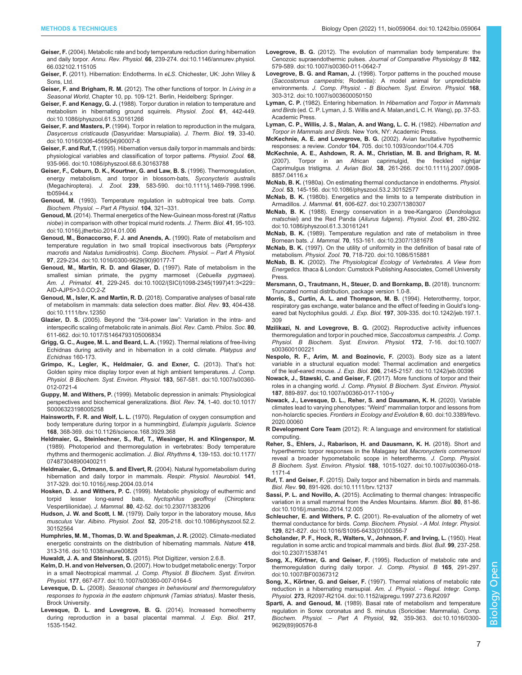- <span id="page-6-0"></span>Geiser, F. [\(2004\). Metabolic rate and body temperature reduction during hibernation](https://doi.org/10.1146/annurev.physiol.66.032102.115105) and daily torpor. Annu. Rev. Physiol. 66[, 239-274. doi:10.1146/annurev.physiol.](https://doi.org/10.1146/annurev.physiol.66.032102.115105) [66.032102.115105](https://doi.org/10.1146/annurev.physiol.66.032102.115105)
- Geiser, F. (2011). Hibernation: Endotherms. In eLS. Chichester, UK: John Wiley & Sons, Ltd.
- Geiser, F. and Brigham, R. M. (2012). The other functions of torpor. In Living in a Seasonal World, Chapter 10, pp. 109-121. Berlin, Heidelberg: Springer.
- Geiser, F. and Kenagy, G. J. [\(1988\). Torpor duration in relation to temperature and](https://doi.org/10.1086/physzool.61.5.30161266) [metabolism in hibernating ground squirrels.](https://doi.org/10.1086/physzool.61.5.30161266) Physiol. Zool. 61, 442-449. [doi:10.1086/physzool.61.5.30161266](https://doi.org/10.1086/physzool.61.5.30161266)
- Geiser, F. and Masters, P. [\(1994\). Torpor in relation to reproduction in the mulgara,](https://doi.org/10.1016/0306-4565(94)90007-8) Dasycercus cristicauda [\(Dasyuridae: Marsupialia\).](https://doi.org/10.1016/0306-4565(94)90007-8) J. Therm. Biol. 19, 33-40. [doi:10.1016/0306-4565\(94\)90007-8](https://doi.org/10.1016/0306-4565(94)90007-8)
- Geiser, F. and Ruf, T. [\(1995\). Hibernation versus daily torpor in mammals and birds:](https://doi.org/10.1086/physzool.68.6.30163788) [physiological variables and classification of torpor patterns.](https://doi.org/10.1086/physzool.68.6.30163788) Physiol. Zool. 68, [935-966. doi:10.1086/physzool.68.6.30163788](https://doi.org/10.1086/physzool.68.6.30163788)
- [Geiser, F., Coburn, D. K., Kourtner, G. and Law, B. S.](https://doi.org/10.1111/j.1469-7998.1996.tb05944.x) (1996). Thermoregulation, [energy metabolism, and torpor in blossom-bats,](https://doi.org/10.1111/j.1469-7998.1996.tb05944.x) Syconycteris australis (Megachiroptera). J. Zool. 239[, 583-590. doi:10.1111/j.1469-7998.1996.](https://doi.org/10.1111/j.1469-7998.1996.tb05944.x) [tb05944.x](https://doi.org/10.1111/j.1469-7998.1996.tb05944.x)
- Genoud, M. (1993). Temperature regulation in subtropical tree bats. Comp. Biochem. Physiol. – Part A Physiol. 104, 321–331.
- Genoud, M. [\(2014\). Thermal energetics of the New-Guinean moss-forest rat \(](https://doi.org/10.1016/j.jtherbio.2014.01.006)Rattus niobe[\) in comparison with other tropical murid rodents.](https://doi.org/10.1016/j.jtherbio.2014.01.006) J. Therm. Biol. 41, 95-103. [doi:10.1016/j.jtherbio.2014.01.006](https://doi.org/10.1016/j.jtherbio.2014.01.006)
- [Genoud, M., Bonaccorso, F. J. and Anends, A.](https://doi.org/10.1016/0300-9629(90)90177-T) (1990). Rate of metabolism and [temperature regulation in two small tropical insectivorous bats \(](https://doi.org/10.1016/0300-9629(90)90177-T)Peropteryx macrotis and Natalus tumidirostris). [Comp. Biochem. Physiol.](https://doi.org/10.1016/0300-9629(90)90177-T) – Part A Physiol. 97[, 229-234. doi:10.1016/0300-9629\(90\)90177-T](https://doi.org/10.1016/0300-9629(90)90177-T)
- [Genoud, M., Martin, R. D. and Glaser, D.](https://doi.org/10.1002/(SICI)1098-2345(1997)41:3%3C229::AID-AJP5%3E3.0.CO;2-Z) (1997). Rate of metabolism in the [smallest simian primate, the pygmy marmoset \(](https://doi.org/10.1002/(SICI)1098-2345(1997)41:3%3C229::AID-AJP5%3E3.0.CO;2-Z)Cebuella pygmaea). Am. J. Primatol. 41[, 229-245. doi:10.1002/\(SICI\)1098-2345\(1997\)41:3<229::](https://doi.org/10.1002/(SICI)1098-2345(1997)41:3%3C229::AID-AJP5%3E3.0.CO;2-Z) [AID-AJP5>3.0.CO;2-Z](https://doi.org/10.1002/(SICI)1098-2345(1997)41:3%3C229::AID-AJP5%3E3.0.CO;2-Z)
- Genoud, M., Isler, K. and Martin, R. D. [\(2018\). Comparative analyses of basal rate](https://doi.org/10.1111/brv.12350) [of metabolism in mammals: data selection does matter.](https://doi.org/10.1111/brv.12350) Biol. Rev. 93, 404-438. [doi:10.1111/brv.12350](https://doi.org/10.1111/brv.12350)
- Glazier, D. S. (2005). Beyond the "3/4-power law"[: Variation in the intra- and](https://doi.org/10.1017/S1464793105006834) [interspecific scaling of metabolic rate in animals.](https://doi.org/10.1017/S1464793105006834) Biol. Rev. Camb. Philos. Soc. 80, [611-662. doi:10.1017/S1464793105006834](https://doi.org/10.1017/S1464793105006834)
- Grigg, G. C., Augee, M. L. and Beard, L. A. (1992). Thermal relations of free-living Echidnas during activity and in hibernation in a cold climate. Platypus and Echidnas 160-173.
- [Grimpo, K., Legler, K., Heldmaier, G. and Exner, C.](https://doi.org/10.1007/s00360-012-0721-4) (2013). That's hot: [Golden spiny mice display torpor even at high ambient temperatures.](https://doi.org/10.1007/s00360-012-0721-4) J. Comp. [Physiol. B Biochem. Syst. Environ. Physiol.](https://doi.org/10.1007/s00360-012-0721-4) 183, 567-581. doi:10.1007/s00360- [012-0721-4](https://doi.org/10.1007/s00360-012-0721-4)
- Guppy, M. and Withers, P. [\(1999\). Metabolic depression in animals: Physiological](https://doi.org/10.1017/S0006323198005258) [perspectives and biochemical generalizations.](https://doi.org/10.1017/S0006323198005258) Biol. Rev. 74, 1-40. doi:10.1017/ [S0006323198005258](https://doi.org/10.1017/S0006323198005258)
- Hainsworth, F. R. and Wolf, L. L. [\(1970\). Regulation of oxygen consumption and](https://doi.org/10.1126/science.168.3929.368) [body temperature during torpor in a hummingbird,](https://doi.org/10.1126/science.168.3929.368) Eulampis jugularis. Science 168[, 368-369. doi:10.1126/science.168.3929.368](https://doi.org/10.1126/science.168.3929.368)
- [Heldmaier, G., Steinlechner, S., Ruf, T., Wiesinger, H. and Klingenspor, M.](https://doi.org/10.1177/074873048900400211) [\(1989\). Photoperiod and thermoregulation in vertebrates: Body temperature](https://doi.org/10.1177/074873048900400211) [rhythms and thermogenic acclimation.](https://doi.org/10.1177/074873048900400211) J. Biol. Rhythms 4, 139-153. doi:10.1177/ [074873048900400211](https://doi.org/10.1177/074873048900400211)
- [Heldmaier, G., Ortmann, S. and Elvert, R.](https://doi.org/10.1016/j.resp.2004.03.014) (2004). Natural hypometabolism during [hibernation and daily torpor in mammals.](https://doi.org/10.1016/j.resp.2004.03.014) Respir. Physiol. Neurobiol. 141, [317-329. doi:10.1016/j.resp.2004.03.014](https://doi.org/10.1016/j.resp.2004.03.014)
- Hosken, D. J. and Withers, P. C. [\(1999\). Metabolic physiology of euthermic and](https://doi.org/10.2307/1383206) [torpid lesser long-eared bats,](https://doi.org/10.2307/1383206) Nyctophilus geoffroyi (Chiroptera: Vespertilionidae). J. Mammal. 80[, 42-52. doi:10.2307/1383206](https://doi.org/10.2307/1383206)
- Hudson, J. W. and Scott, I. M. [\(1979\). Daily torpor in the laboratory mouse,](https://doi.org/10.1086/physzool.52.2.30152564) Mus musculus Var. Albino. Physiol. Zool. 52[, 205-218. doi:10.1086/physzool.52.2.](https://doi.org/10.1086/physzool.52.2.30152564) [30152564](https://doi.org/10.1086/physzool.52.2.30152564)
- [Humphries, M. M., Thomas, D. W. and Speakman, J. R.](https://doi.org/10.1038/nature00828) (2002). Climate-mediated [energetic constraints on the distribution of hibernating mammals.](https://doi.org/10.1038/nature00828) Nature 418, [313-316. doi:10.1038/nature00828](https://doi.org/10.1038/nature00828)
- Huwaldt, J. A. and Steinhorst, S. (2015). Plot Digitizer, version 2.6.8.
- Kelm, D. H. and von Helversen, O. [\(2007\). How to budget metabolic energy: Torpor](https://doi.org/10.1007/s00360-007-0164-5) in a small Neotropical mammal. [J. Comp. Physiol. B Biochem. Syst. Environ.](https://doi.org/10.1007/s00360-007-0164-5) Physiol. 177[, 667-677. doi:10.1007/s00360-007-0164-5](https://doi.org/10.1007/s00360-007-0164-5)
- Levesque, D. L. (2008). Seasonal changes in behavioural and thermoregulatory responses to hypoxia in the eastern chipmunk (Tamias striatus). Master thesis, Brock University.
- Levesque, D. L. and Lovegrove, B. G. (2014). Increased homeothermy during reproduction in a basal placental mammal. J. Exp. Biol. 217, 1535-1542.
- Lovegrove, B. G. [\(2012\). The evolution of mammalian body temperature: the](https://doi.org/10.1007/s00360-011-0642-7) Cenozoic supraendothermic pulses. [Journal of Comparative Physiology B](https://doi.org/10.1007/s00360-011-0642-7) 182, [579-589. doi:10.1007/s00360-011-0642-7](https://doi.org/10.1007/s00360-011-0642-7)
- Lovegrove, B. G. and Raman, J. [\(1998\). Torpor patterns in the pouched mouse](https://doi.org/10.1007/s003600050150) (Saccostomus campestris[; Rodentia\): A model animal for unpredictable](https://doi.org/10.1007/s003600050150) environments. [J. Comp. Physiol. - B Biochem. Syst. Environ. Physiol.](https://doi.org/10.1007/s003600050150) 168, [303-312. doi:10.1007/s003600050150](https://doi.org/10.1007/s003600050150)
- Lyman, C. P. (1982). Entering hibernation. In Hibernation and Torpor in Mammals and Birds (ed. C. P. Lyman, J. S. Willis and A. Malan,and L C. H. Wang), pp. 37-53. Academic Press.
- Lyman, C. P., Willis, J. S., Malan, A. and Wang, L. C. H. (1982). Hibernation and Torpor in Mammals and Birds. New York, NY: Academic Press.
- [McKechnie, A. E. and Lovegrove, B. G.](https://doi.org/10.1093/condor/104.4.705) (2002). Avian facultative hypothermic responses: a review. Condor 104[, 705. doi:10.1093/condor/104.4.705](https://doi.org/10.1093/condor/104.4.705)
- [McKechnie, A. E., Ashdown, R. A. M., Christian, M. B. and Brigham, R. M.](https://doi.org/10.1111/j.2007.0908-8857.04116.x)<br>(2007). Torpor in an African caprimulgid, the freckled nightjar Torpor in an African caprimulgid, the freckled nightjar Caprimulgus tristigma. J. Avian Biol. 38[, 261-266. doi:10.1111/j.2007.0908-](https://doi.org/10.1111/j.2007.0908-8857.04116.x) [8857.04116.x](https://doi.org/10.1111/j.2007.0908-8857.04116.x)
- McNab, B. K. [\(1980a\). On estimating thermal conductance in endotherms.](https://doi.org/10.1086/physzool.53.2.30152577) Physiol. Zool. 53[, 145-156. doi:10.1086/physzool.53.2.30152577](https://doi.org/10.1086/physzool.53.2.30152577)
- McNab, B. K. [\(1980b\). Energetics and the limits to a temperate distribution in](https://doi.org/10.2307/1380307) Armadillos. J. Mammal. 61[, 606-627. doi:10.2307/1380307](https://doi.org/10.2307/1380307)
- McNab, B. K. [\(1988\). Energy conservation in a tree-Kangaroo \(](https://doi.org/10.1086/physzool.61.3.30161241)Dendrolagus matschiei[\) and the Red Panda \(](https://doi.org/10.1086/physzool.61.3.30161241)Ailurus fulgens). Physiol. Zool. 61, 280-292. [doi:10.1086/physzool.61.3.30161241](https://doi.org/10.1086/physzool.61.3.30161241)
- McNab, B. K. [\(1989\). Temperature regulation and rate of metabolism in three](https://doi.org/10.2307/1381678) Bornean bats. J. Mammal. 70[, 153-161. doi:10.2307/1381678](https://doi.org/10.2307/1381678)
- McNab, B. K. [\(1997\). On the utility of uniformity in the definition of basal rate of](https://doi.org/10.1086/515881) metabolism. Physiol. Zool. 70[, 718-720. doi:10.1086/515881](https://doi.org/10.1086/515881)
- McNab, B. K. (2002). The Physiological Ecology of Vertebrates. A View from Energetics. Ithaca & London: Cumstock Publishing Associates, Cornell University Press.
- Mersmann, O., Trautmann, H., Steuer, D. and Bornkamp, B. (2018). truncnorm: Truncated normal distribution, package version 1.0-8.
- [Morris, S., Curtin, A. L. and Thompson, M. B.](https://doi.org/10.1242/jeb.197.1.309) (1994). Heterothermy, torpor, [respiratory gas exchange, water balance and the effect of feeding in Gould](https://doi.org/10.1242/jeb.197.1.309)'s long-eared bat Nyctophilus gouldi. J. Exp. Biol. 197[, 309-335. doi:10.1242/jeb.197.1.](https://doi.org/10.1242/jeb.197.1.309) [309](https://doi.org/10.1242/jeb.197.1.309)
- Mzilikazi, N. and Lovegrove, B. G. [\(2002\). Reproductive activity influences](https://doi.org/10.1007/s003600100221) [thermoregulation and torpor in pouched mice,](https://doi.org/10.1007/s003600100221) Saccostomus campestris. J. Comp. [Physiol. B Biochem. Syst. Environ. Physiol.](https://doi.org/10.1007/s003600100221) 172, 7-16. doi:10.1007/ [s003600100221](https://doi.org/10.1007/s003600100221)
- [Nespolo, R. F., Arim, M. and Bozinovic, F.](https://doi.org/10.1242/jeb.00396) (2003). Body size as a latent [variable in a structural equation model: Thermal acclimation and energetics](https://doi.org/10.1242/jeb.00396) of the leaf-eared mouse. J. Exp. Biol. 206[, 2145-2157. doi:10.1242/jeb.00396](https://doi.org/10.1242/jeb.00396)
- Nowack, J., Stawski, C. and Geiser, F. [\(2017\). More functions of torpor and their](https://doi.org/10.1007/s00360-017-1100-y) roles in a changing world. [J. Comp. Physiol. B Biochem. Syst. Environ. Physiol.](https://doi.org/10.1007/s00360-017-1100-y) 187[, 889-897. doi:10.1007/s00360-017-1100-y](https://doi.org/10.1007/s00360-017-1100-y)
- [Nowack, J., Levesque, D. L., Reher, S. and Dausmann, K. H.](https://doi.org/10.3389/fevo.2020.00060) (2020). Variable [climates lead to varying phenotypes:](https://doi.org/10.3389/fevo.2020.00060) "Weird" mammalian torpor and lessons from non-holarctic species. [Frontiers in Ecology and Evolution](https://doi.org/10.3389/fevo.2020.00060) 8, 60. doi:10.3389/fevo. [2020.00060](https://doi.org/10.3389/fevo.2020.00060)
- R Development Core Team (2012). R: A language and environment for statistical computing.
- [Reher, S., Ehlers, J., Rabarison, H. and Dausmann, K. H.](https://doi.org/10.1007/s00360-018-1171-4) (2018). Short and [hyperthermic torpor responses in the Malagasy bat](https://doi.org/10.1007/s00360-018-1171-4) Macronycteris commersoni [reveal a broader hypometabolic scope in heterotherms.](https://doi.org/10.1007/s00360-018-1171-4) J. Comp. Physiol. B Biochem. Syst. Environ. Physiol. 188[, 1015-1027. doi:10.1007/s00360-018-](https://doi.org/10.1007/s00360-018-1171-4) [1171-4](https://doi.org/10.1007/s00360-018-1171-4)
- Ruf, T. and Geiser, F. [\(2015\). Daily torpor and hibernation in birds and mammals.](https://doi.org/10.1111/brv.12137) Biol. Rev. 90[, 891-926. doi:10.1111/brv.12137](https://doi.org/10.1111/brv.12137)
- Sassi, P. L. and Novillo, A. [\(2015\). Acclimating to thermal changes: Intraspecific](https://doi.org/10.1016/j.mambio.2014.12.005) [variation in a small mammal from the Andes Mountains.](https://doi.org/10.1016/j.mambio.2014.12.005) Mamm. Biol. 80, 81-86. [doi:10.1016/j.mambio.2014.12.005](https://doi.org/10.1016/j.mambio.2014.12.005)
- Schleucher, E. and Withers, P. C. [\(2001\). Re-evaluation of the allometry of wet](https://doi.org/10.1016/S1095-6433(01)00356-7) thermal conductance for birds. [Comp. Biochem. Physiol. - A Mol. Integr. Physiol.](https://doi.org/10.1016/S1095-6433(01)00356-7) 129[, 821-827. doi:10.1016/S1095-6433\(01\)00356-7](https://doi.org/10.1016/S1095-6433(01)00356-7)
- [Scholander, P. F., Hock, R., Walters, V., Johnson, F. and Irving, L.](https://doi.org/10.2307/1538741) (1950). Heat [regulation in some arctic and tropical mammals and birds.](https://doi.org/10.2307/1538741) Biol. Bull. 99, 237-258. [doi:10.2307/1538741](https://doi.org/10.2307/1538741)
- Song, X., Körtner, G. and Geiser, F. [\(1995\). Reduction of metabolic rate and](https://doi.org/10.1007/BF00367312) [thermoregulation during daily torpor.](https://doi.org/10.1007/BF00367312) J. Comp. Physiol. B 165, 291-297. [doi:10.1007/BF00367312](https://doi.org/10.1007/BF00367312)
- Song, X., Körtner, G. and Geiser, F. [\(1997\). Thermal relations of metabolic rate](https://doi.org/10.1152/ajpregu.1997.273.6.R2097) reduction in a hibernating marsupial. [Am. J. Physiol. - Regul. Integr. Comp.](https://doi.org/10.1152/ajpregu.1997.273.6.R2097) Physiol. 273[, R2097-R2104. doi:10.1152/ajpregu.1997.273.6.R2097](https://doi.org/10.1152/ajpregu.1997.273.6.R2097)
- Sparti, A. and Genoud, M. [\(1989\). Basal rate of metabolism and temperature](https://doi.org/10.1016/0300-9629(89)90576-8) [regulation in Sorex coronatus and S. minutus \(Soricidae: Mammalia\).](https://doi.org/10.1016/0300-9629(89)90576-8) Comp. Biochem. Physiol. – Part A Physiol, 92[, 359-363. doi:10.1016/0300-](https://doi.org/10.1016/0300-9629(89)90576-8) [9629\(89\)90576-8](https://doi.org/10.1016/0300-9629(89)90576-8)